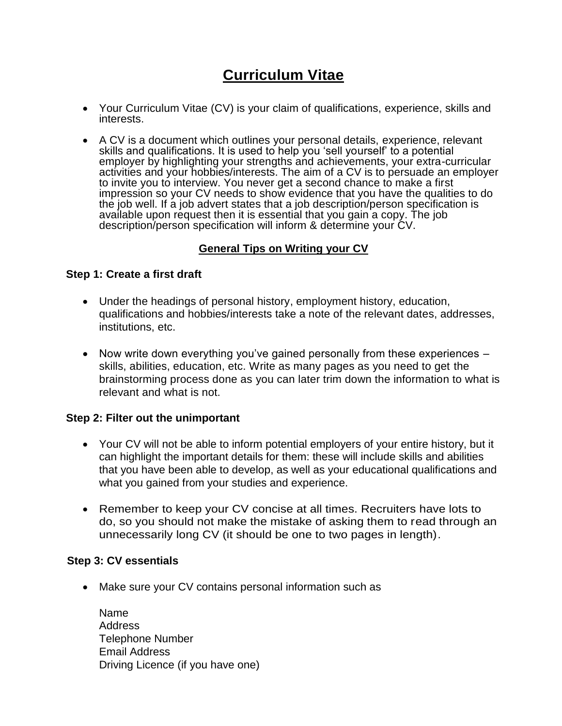# **Curriculum Vitae**

- Your Curriculum Vitae (CV) is your claim of qualifications, experience, skills and interests.
- A CV is a document which outlines your personal details, experience, relevant skills and qualifications. It is used to help you 'sell yourself' to a potential employer by highlighting your strengths and achievements, your extra-curricular activities and your hobbies/interests. The aim of a CV is to persuade an employer to invite you to interview. You never get a second chance to make a first impression so your CV needs to show evidence that you have the qualities to do the job well. If a job advert states that a job description/person specification is available upon request then it is essential that you gain a copy. The job description/person specification will inform & determine your CV.

# **General Tips on Writing your CV**

#### **Step 1: Create a first draft**

- Under the headings of personal history, employment history, education, qualifications and hobbies/interests take a note of the relevant dates, addresses, institutions, etc.
- Now write down everything you've gained personally from these experiences skills, abilities, education, etc. Write as many pages as you need to get the brainstorming process done as you can later trim down the information to what is relevant and what is not.

#### **Step 2: Filter out the unimportant**

- Your CV will not be able to inform potential employers of your entire history, but it can highlight the important details for them: these will include skills and abilities that you have been able to develop, as well as your educational qualifications and what you gained from your studies and experience.
- Remember to keep your CV concise at all times. Recruiters have lots to do, so you should not make the mistake of asking them to read through an unnecessarily long CV (it should be one to two pages in length).

#### **Step 3: CV essentials**

• Make sure your CV contains personal information such as

Name Address Telephone Number Email Address Driving Licence (if you have one)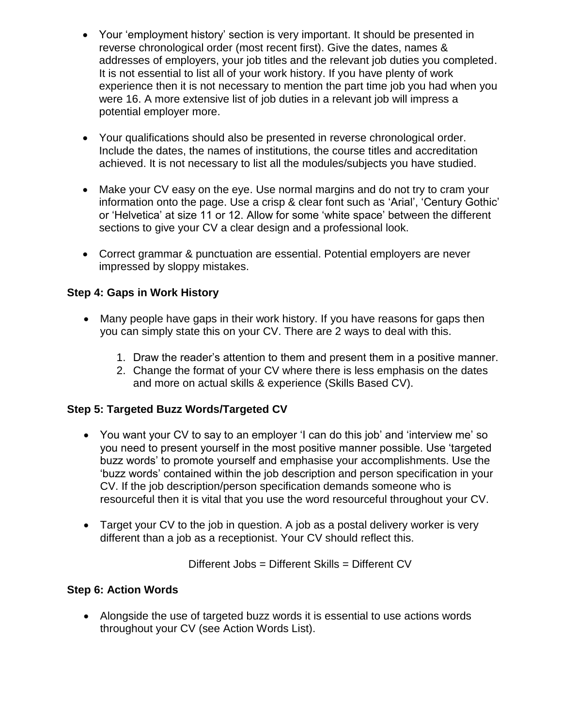- Your 'employment history' section is very important. It should be presented in reverse chronological order (most recent first). Give the dates, names & addresses of employers, your job titles and the relevant job duties you completed. It is not essential to list all of your work history. If you have plenty of work experience then it is not necessary to mention the part time job you had when you were 16. A more extensive list of job duties in a relevant job will impress a potential employer more.
- Your qualifications should also be presented in reverse chronological order. Include the dates, the names of institutions, the course titles and accreditation achieved. It is not necessary to list all the modules/subjects you have studied.
- Make your CV easy on the eye. Use normal margins and do not try to cram your information onto the page. Use a crisp & clear font such as 'Arial', 'Century Gothic' or 'Helvetica' at size 11 or 12. Allow for some 'white space' between the different sections to give your CV a clear design and a professional look.
- Correct grammar & punctuation are essential. Potential employers are never impressed by sloppy mistakes.

## **Step 4: Gaps in Work History**

- Many people have gaps in their work history. If you have reasons for gaps then you can simply state this on your CV. There are 2 ways to deal with this.
	- 1. Draw the reader's attention to them and present them in a positive manner.
	- 2. Change the format of your CV where there is less emphasis on the dates and more on actual skills & experience (Skills Based CV).

#### **Step 5: Targeted Buzz Words/Targeted CV**

- You want your CV to say to an employer 'I can do this job' and 'interview me' so you need to present yourself in the most positive manner possible. Use 'targeted buzz words' to promote yourself and emphasise your accomplishments. Use the 'buzz words' contained within the job description and person specification in your CV. If the job description/person specification demands someone who is resourceful then it is vital that you use the word resourceful throughout your CV.
- Target your CV to the job in question. A job as a postal delivery worker is very different than a job as a receptionist. Your CV should reflect this.

Different Jobs = Different Skills = Different CV

#### **Step 6: Action Words**

 Alongside the use of targeted buzz words it is essential to use actions words throughout your CV (see Action Words List).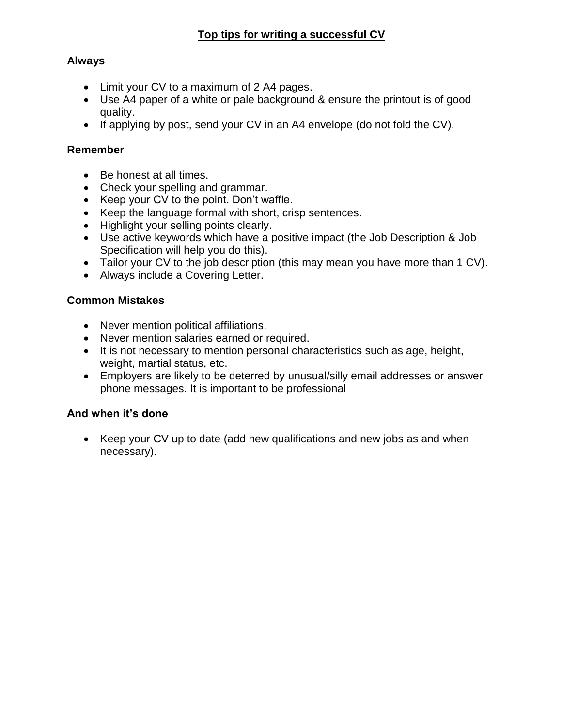### **Always**

- Limit your CV to a maximum of 2 A4 pages.
- Use A4 paper of a white or pale background & ensure the printout is of good quality.
- If applying by post, send your CV in an A4 envelope (do not fold the CV).

### **Remember**

- Be honest at all times.
- Check your spelling and grammar.
- Keep your CV to the point. Don't waffle.
- Keep the language formal with short, crisp sentences.
- Highlight your selling points clearly.
- Use active keywords which have a positive impact (the Job Description & Job Specification will help you do this).
- Tailor your CV to the job description (this may mean you have more than 1 CV).
- Always include a Covering Letter.

## **Common Mistakes**

- Never mention political affiliations.
- Never mention salaries earned or required.
- It is not necessary to mention personal characteristics such as age, height, weight, martial status, etc.
- Employers are likely to be deterred by unusual/silly email addresses or answer phone messages. It is important to be professional

# **And when it's done**

 Keep your CV up to date (add new qualifications and new jobs as and when necessary).